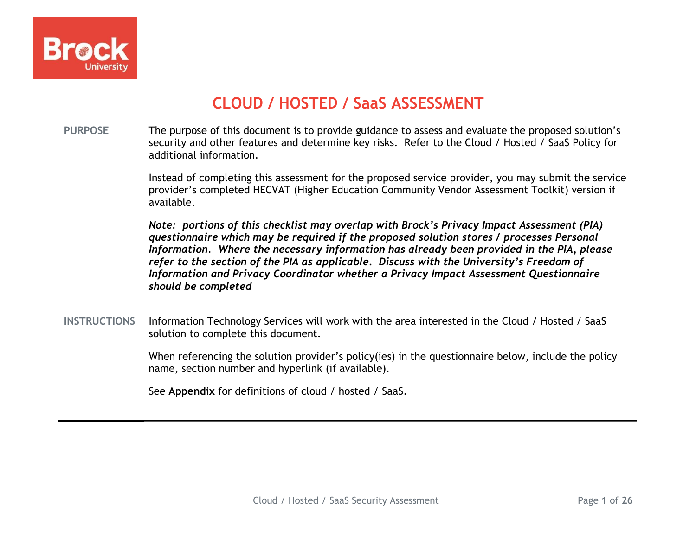

# CLOUD / HOSTED / SaaS ASSESSMENT

PURPOSE The purpose of this document is to provide guidance to assess and evaluate the proposed solution's security and other features and determine key risks. Refer to the Cloud / Hosted / SaaS Policy for additional information.

> Instead of completing this assessment for the proposed service provider, you may submit the service provider's completed HECVAT (Higher Education Community Vendor Assessment Toolkit) version if available.

Note: portions of this checklist may overlap with Brock's Privacy Impact Assessment (PIA) questionnaire which may be required if the proposed solution stores / processes Personal Information. Where the necessary information has already been provided in the PIA, please refer to the section of the PIA as applicable. Discuss with the University's Freedom of Information and Privacy Coordinator whether a Privacy Impact Assessment Questionnaire should be completed

INSTRUCTIONS Information Technology Services will work with the area interested in the Cloud / Hosted / SaaS solution to complete this document.

> When referencing the solution provider's policy(ies) in the questionnaire below, include the policy name, section number and hyperlink (if available).

See Appendix for definitions of cloud / hosted / SaaS.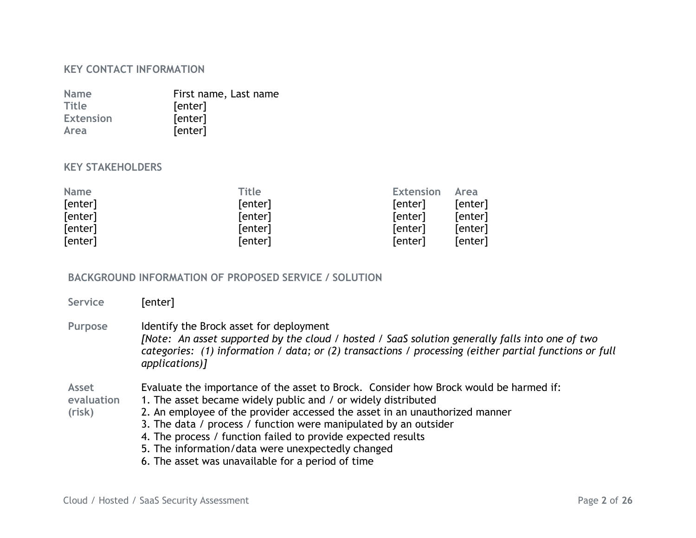#### KEY CONTACT INFORMATION

| <b>Name</b>      | First name, Last name |
|------------------|-----------------------|
| <b>Title</b>     | [enter]               |
| <b>Extension</b> | [enter]               |
| Area             | [enter]               |

#### KEY STAKEHOLDERS

| <b>Name</b> | <b>Title</b> | <b>Extension</b> | Area    |
|-------------|--------------|------------------|---------|
| [enter]     | [enter]      | [enter]          | [enter] |
| [enter]     | [enter]      | [enter]          | [enter] |
| [enter]     | [enter]      | [enter]          | [enter] |
| [enter]     | [enter]      | [enter]          | [enter] |

#### BACKGROUND INFORMATION OF PROPOSED SERVICE / SOLUTION

| Service                       | [enter]                                                                                                                                                                                                                                                                                                                                                                                                                                                                             |
|-------------------------------|-------------------------------------------------------------------------------------------------------------------------------------------------------------------------------------------------------------------------------------------------------------------------------------------------------------------------------------------------------------------------------------------------------------------------------------------------------------------------------------|
| Purpose                       | Identify the Brock asset for deployment<br>[Note: An asset supported by the cloud / hosted / SaaS solution generally falls into one of two<br>categories: (1) information / data; or (2) transactions / processing (either partial functions or full<br>applications)]                                                                                                                                                                                                              |
| Asset<br>evaluation<br>(risk) | Evaluate the importance of the asset to Brock. Consider how Brock would be harmed if:<br>1. The asset became widely public and / or widely distributed<br>2. An employee of the provider accessed the asset in an unauthorized manner<br>3. The data / process / function were manipulated by an outsider<br>4. The process / function failed to provide expected results<br>5. The information/data were unexpectedly changed<br>6. The asset was unavailable for a period of time |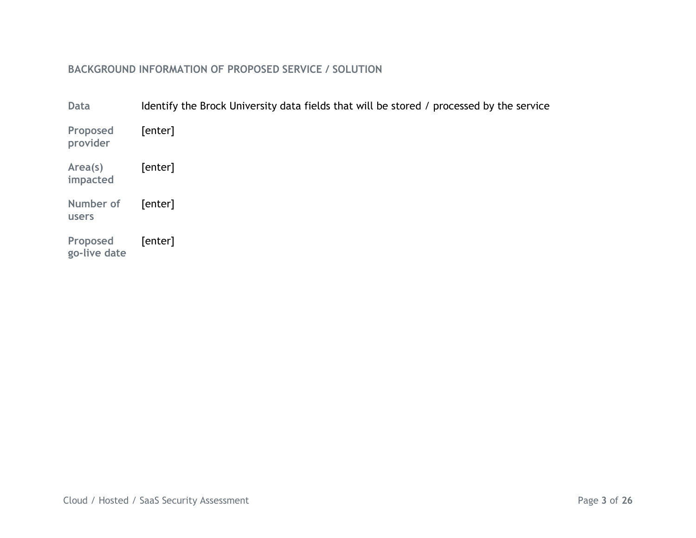## BACKGROUND INFORMATION OF PROPOSED SERVICE / SOLUTION

| Data                     | Identify the Brock University data fields that will be stored / processed by the service |
|--------------------------|------------------------------------------------------------------------------------------|
| Proposed<br>provider     | [enter]                                                                                  |
| Area(s)<br>impacted      | [enter]                                                                                  |
| Number of<br>users       | [enter]                                                                                  |
| Proposed<br>go-live date | [enter]                                                                                  |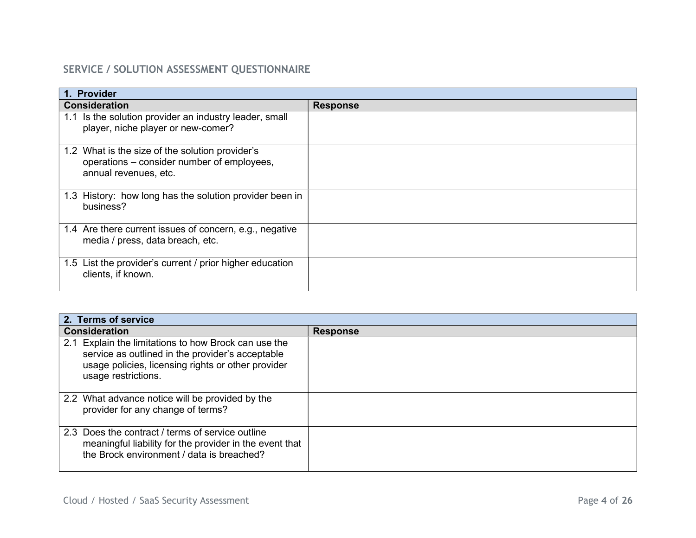## SERVICE / SOLUTION ASSESSMENT QUESTIONNAIRE

| 1. Provider                                                                                                            |                 |
|------------------------------------------------------------------------------------------------------------------------|-----------------|
| <b>Consideration</b>                                                                                                   | <b>Response</b> |
| 1.1 Is the solution provider an industry leader, small<br>player, niche player or new-comer?                           |                 |
| 1.2 What is the size of the solution provider's<br>operations – consider number of employees,<br>annual revenues, etc. |                 |
| 1.3 History: how long has the solution provider been in<br>business?                                                   |                 |
| 1.4 Are there current issues of concern, e.g., negative<br>media / press, data breach, etc.                            |                 |
| 1.5 List the provider's current / prior higher education<br>clients, if known.                                         |                 |

| 2. Terms of service                                                                                                                                                                   |                 |
|---------------------------------------------------------------------------------------------------------------------------------------------------------------------------------------|-----------------|
| <b>Consideration</b>                                                                                                                                                                  | <b>Response</b> |
| 2.1 Explain the limitations to how Brock can use the<br>service as outlined in the provider's acceptable<br>usage policies, licensing rights or other provider<br>usage restrictions. |                 |
| 2.2 What advance notice will be provided by the<br>provider for any change of terms?                                                                                                  |                 |
| 2.3 Does the contract / terms of service outline<br>meaningful liability for the provider in the event that<br>the Brock environment / data is breached?                              |                 |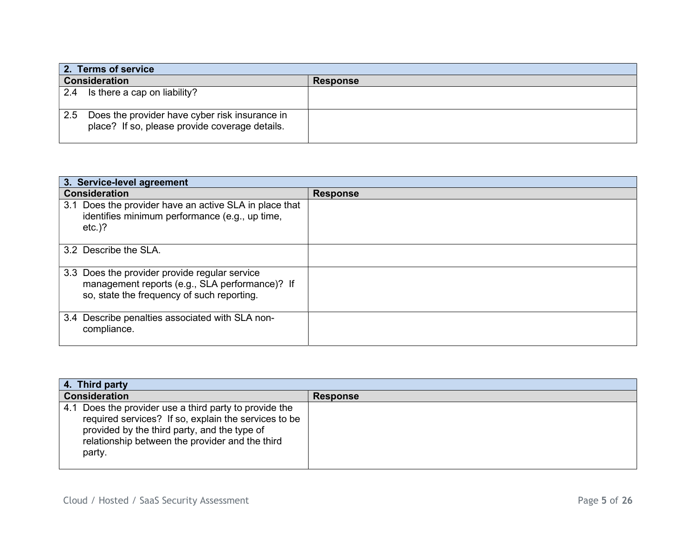| 2. Terms of service                                                                                     |                 |
|---------------------------------------------------------------------------------------------------------|-----------------|
| <b>Consideration</b>                                                                                    | <b>Response</b> |
| $2.4$ Is there a cap on liability?                                                                      |                 |
| Does the provider have cyber risk insurance in<br>2.5<br>place? If so, please provide coverage details. |                 |

| 3. Service-level agreement                                                                                                                    |                 |
|-----------------------------------------------------------------------------------------------------------------------------------------------|-----------------|
| <b>Consideration</b>                                                                                                                          | <b>Response</b> |
| 3.1 Does the provider have an active SLA in place that<br>identifies minimum performance (e.g., up time,<br>$etc.$ )?                         |                 |
| 3.2 Describe the SLA.                                                                                                                         |                 |
| 3.3 Does the provider provide regular service<br>management reports (e.g., SLA performance)? If<br>so, state the frequency of such reporting. |                 |
| 3.4 Describe penalties associated with SLA non-<br>compliance.                                                                                |                 |

| 4. Third party                                                                                                                                                                                                              |                 |
|-----------------------------------------------------------------------------------------------------------------------------------------------------------------------------------------------------------------------------|-----------------|
| <b>Consideration</b>                                                                                                                                                                                                        | <b>Response</b> |
| 4.1 Does the provider use a third party to provide the<br>required services? If so, explain the services to be<br>provided by the third party, and the type of<br>relationship between the provider and the third<br>party. |                 |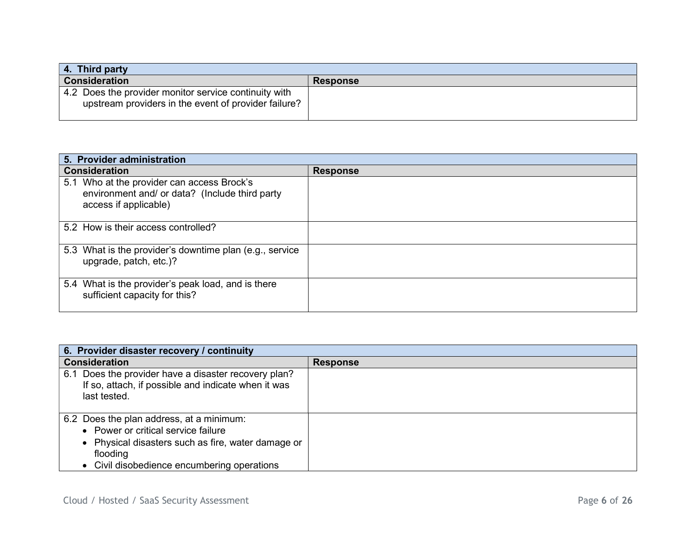| 4. Third party                                                                                                |                 |
|---------------------------------------------------------------------------------------------------------------|-----------------|
| <b>Consideration</b>                                                                                          | <b>Response</b> |
| 4.2 Does the provider monitor service continuity with<br>upstream providers in the event of provider failure? |                 |

| 5. Provider administration                                                                                            |                 |
|-----------------------------------------------------------------------------------------------------------------------|-----------------|
| <b>Consideration</b>                                                                                                  | <b>Response</b> |
| 5.1 Who at the provider can access Brock's<br>environment and/ or data? (Include third party<br>access if applicable) |                 |
| 5.2 How is their access controlled?                                                                                   |                 |
| 5.3 What is the provider's downtime plan (e.g., service<br>upgrade, patch, etc.)?                                     |                 |
| 5.4 What is the provider's peak load, and is there<br>sufficient capacity for this?                                   |                 |

| 6. Provider disaster recovery / continuity                                                                                                                                                       |                 |
|--------------------------------------------------------------------------------------------------------------------------------------------------------------------------------------------------|-----------------|
| <b>Consideration</b>                                                                                                                                                                             | <b>Response</b> |
| 6.1 Does the provider have a disaster recovery plan?<br>If so, attach, if possible and indicate when it was<br>last tested.                                                                      |                 |
| 6.2 Does the plan address, at a minimum:<br>• Power or critical service failure<br>• Physical disasters such as fire, water damage or<br>flooding<br>• Civil disobedience encumbering operations |                 |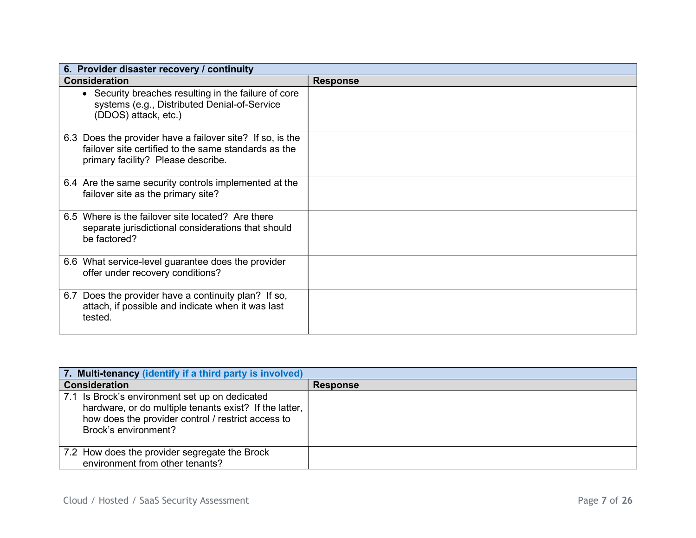| 6. Provider disaster recovery / continuity                                                                                                              |                 |
|---------------------------------------------------------------------------------------------------------------------------------------------------------|-----------------|
| <b>Consideration</b>                                                                                                                                    | <b>Response</b> |
| • Security breaches resulting in the failure of core<br>systems (e.g., Distributed Denial-of-Service<br>(DDOS) attack, etc.)                            |                 |
| 6.3 Does the provider have a failover site? If so, is the<br>failover site certified to the same standards as the<br>primary facility? Please describe. |                 |
| 6.4 Are the same security controls implemented at the<br>failover site as the primary site?                                                             |                 |
| 6.5 Where is the failover site located? Are there<br>separate jurisdictional considerations that should<br>be factored?                                 |                 |
| 6.6 What service-level guarantee does the provider<br>offer under recovery conditions?                                                                  |                 |
| 6.7 Does the provider have a continuity plan? If so,<br>attach, if possible and indicate when it was last<br>tested.                                    |                 |

| 7. Multi-tenancy (identify if a third party is involved)                                                                                                                               |                 |
|----------------------------------------------------------------------------------------------------------------------------------------------------------------------------------------|-----------------|
| <b>Consideration</b>                                                                                                                                                                   | <b>Response</b> |
| 7.1 Is Brock's environment set up on dedicated<br>hardware, or do multiple tenants exist? If the latter,<br>how does the provider control / restrict access to<br>Brock's environment? |                 |
| 7.2 How does the provider segregate the Brock<br>environment from other tenants?                                                                                                       |                 |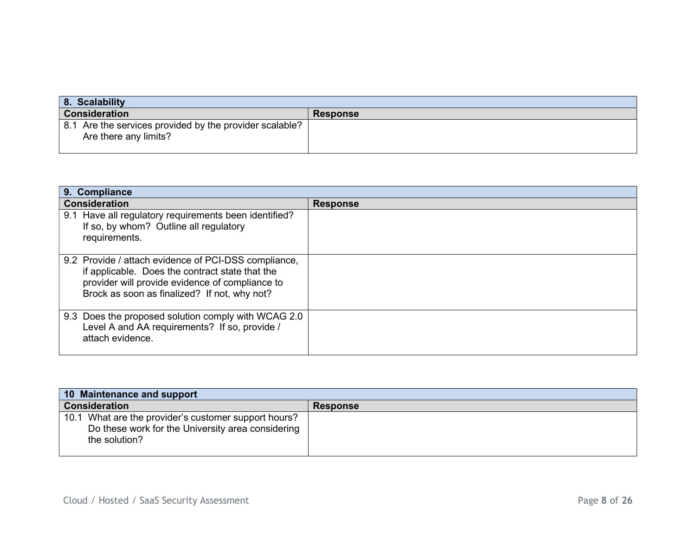| 8. Scalability                                                                   |                 |
|----------------------------------------------------------------------------------|-----------------|
| <b>Consideration</b>                                                             | <b>Response</b> |
| 8.1 Are the services provided by the provider scalable?<br>Are there any limits? |                 |

| 9. Compliance                                                                                                                                                                                              |                 |  |
|------------------------------------------------------------------------------------------------------------------------------------------------------------------------------------------------------------|-----------------|--|
| <b>Consideration</b>                                                                                                                                                                                       | <b>Response</b> |  |
| 9.1 Have all regulatory requirements been identified?<br>If so, by whom? Outline all regulatory<br>requirements.                                                                                           |                 |  |
| 9.2 Provide / attach evidence of PCI-DSS compliance,<br>if applicable. Does the contract state that the<br>provider will provide evidence of compliance to<br>Brock as soon as finalized? If not, why not? |                 |  |
| 9.3 Does the proposed solution comply with WCAG 2.0<br>Level A and AA requirements? If so, provide /<br>attach evidence.                                                                                   |                 |  |

| 10 Maintenance and support                                                                                                 |                 |  |
|----------------------------------------------------------------------------------------------------------------------------|-----------------|--|
| <b>Consideration</b>                                                                                                       | <b>Response</b> |  |
| 10.1 What are the provider's customer support hours?<br>Do these work for the University area considering<br>the solution? |                 |  |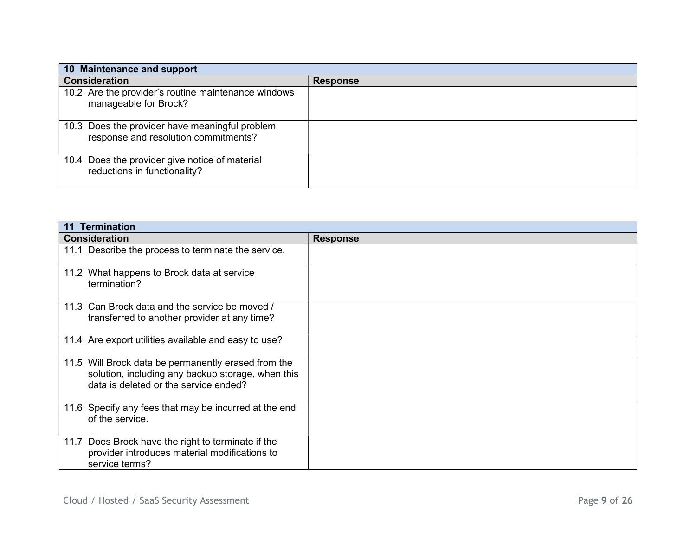| 10 Maintenance and support                                                             |                 |
|----------------------------------------------------------------------------------------|-----------------|
| <b>Consideration</b>                                                                   | <b>Response</b> |
| 10.2 Are the provider's routine maintenance windows<br>manageable for Brock?           |                 |
| 10.3 Does the provider have meaningful problem<br>response and resolution commitments? |                 |
| 10.4 Does the provider give notice of material<br>reductions in functionality?         |                 |

| <b>Termination</b><br>11                                                                                                                          |                 |  |
|---------------------------------------------------------------------------------------------------------------------------------------------------|-----------------|--|
| <b>Consideration</b>                                                                                                                              | <b>Response</b> |  |
| 11.1 Describe the process to terminate the service.                                                                                               |                 |  |
| 11.2 What happens to Brock data at service<br>termination?                                                                                        |                 |  |
| 11.3 Can Brock data and the service be moved /<br>transferred to another provider at any time?                                                    |                 |  |
| 11.4 Are export utilities available and easy to use?                                                                                              |                 |  |
| 11.5 Will Brock data be permanently erased from the<br>solution, including any backup storage, when this<br>data is deleted or the service ended? |                 |  |
| 11.6 Specify any fees that may be incurred at the end<br>of the service.                                                                          |                 |  |
| 11.7 Does Brock have the right to terminate if the<br>provider introduces material modifications to<br>service terms?                             |                 |  |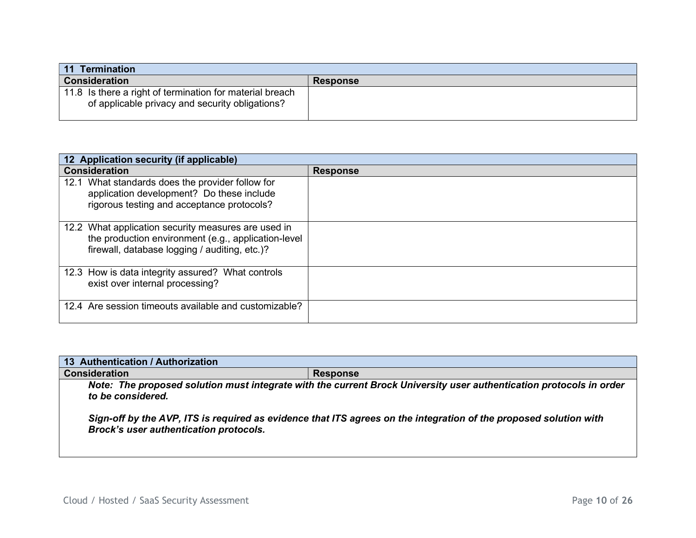| 11 Termination                                                                                              |                 |
|-------------------------------------------------------------------------------------------------------------|-----------------|
| <b>Consideration</b>                                                                                        | <b>Response</b> |
| 11.8 Is there a right of termination for material breach<br>of applicable privacy and security obligations? |                 |

| 12 Application security (if applicable)                                                                                                                     |                 |
|-------------------------------------------------------------------------------------------------------------------------------------------------------------|-----------------|
| <b>Consideration</b>                                                                                                                                        | <b>Response</b> |
| 12.1 What standards does the provider follow for<br>application development? Do these include<br>rigorous testing and acceptance protocols?                 |                 |
| 12.2 What application security measures are used in<br>the production environment (e.g., application-level<br>firewall, database logging / auditing, etc.)? |                 |
| 12.3 How is data integrity assured? What controls<br>exist over internal processing?                                                                        |                 |
| 12.4 Are session timeouts available and customizable?                                                                                                       |                 |

| 13 Authentication / Authorization                                                                                                                                  |                 |  |
|--------------------------------------------------------------------------------------------------------------------------------------------------------------------|-----------------|--|
| <b>Consideration</b>                                                                                                                                               | <b>Response</b> |  |
| Note: The proposed solution must integrate with the current Brock University user authentication protocols in order<br>to be considered.                           |                 |  |
| Sign-off by the AVP, ITS is required as evidence that ITS agrees on the integration of the proposed solution with<br><b>Brock's user authentication protocols.</b> |                 |  |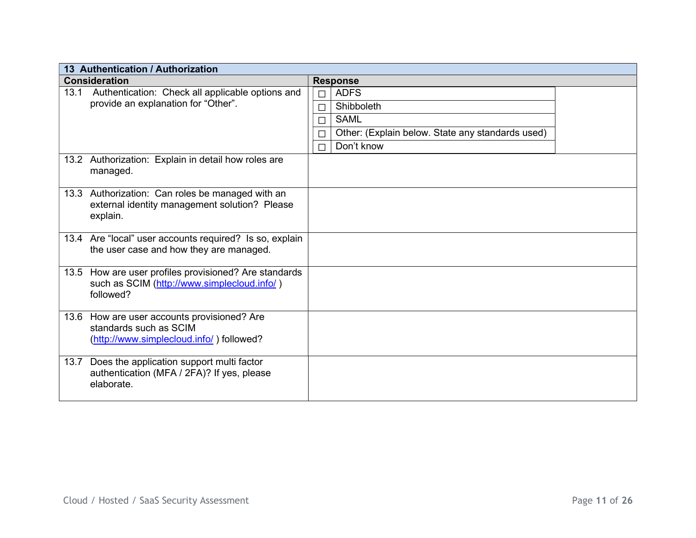| 13 Authentication / Authorization                                                                                 |                  |                                                                                              |  |
|-------------------------------------------------------------------------------------------------------------------|------------------|----------------------------------------------------------------------------------------------|--|
| <b>Consideration</b>                                                                                              |                  | <b>Response</b>                                                                              |  |
| 13.1 Authentication: Check all applicable options and<br>provide an explanation for "Other".                      | П<br>$\Box$<br>П | <b>ADFS</b><br>Shibboleth<br><b>SAML</b><br>Other: (Explain below. State any standards used) |  |
|                                                                                                                   | □<br>П           | Don't know                                                                                   |  |
| 13.2 Authorization: Explain in detail how roles are<br>managed.                                                   |                  |                                                                                              |  |
| 13.3 Authorization: Can roles be managed with an<br>external identity management solution? Please<br>explain.     |                  |                                                                                              |  |
| 13.4 Are "local" user accounts required? Is so, explain<br>the user case and how they are managed.                |                  |                                                                                              |  |
| 13.5 How are user profiles provisioned? Are standards<br>such as SCIM (http://www.simplecloud.info/)<br>followed? |                  |                                                                                              |  |
| 13.6 How are user accounts provisioned? Are<br>standards such as SCIM<br>(http://www.simplecloud.info/) followed? |                  |                                                                                              |  |
| Does the application support multi factor<br>13.7<br>authentication (MFA / 2FA)? If yes, please<br>elaborate.     |                  |                                                                                              |  |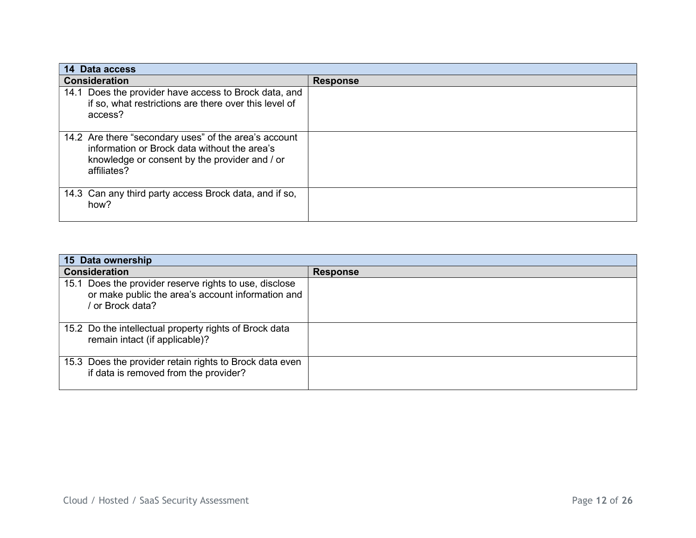| 14 Data access                                                                                                                                                        |                 |
|-----------------------------------------------------------------------------------------------------------------------------------------------------------------------|-----------------|
| <b>Consideration</b>                                                                                                                                                  | <b>Response</b> |
| 14.1 Does the provider have access to Brock data, and<br>if so, what restrictions are there over this level of<br>access?                                             |                 |
| 14.2 Are there "secondary uses" of the area's account<br>information or Brock data without the area's<br>knowledge or consent by the provider and / or<br>affiliates? |                 |
| 14.3 Can any third party access Brock data, and if so,<br>how?                                                                                                        |                 |

| 15 Data ownership                                                                                                             |                 |
|-------------------------------------------------------------------------------------------------------------------------------|-----------------|
| <b>Consideration</b>                                                                                                          | <b>Response</b> |
| 15.1 Does the provider reserve rights to use, disclose<br>or make public the area's account information and<br>or Brock data? |                 |
| 15.2 Do the intellectual property rights of Brock data<br>remain intact (if applicable)?                                      |                 |
| 15.3 Does the provider retain rights to Brock data even<br>if data is removed from the provider?                              |                 |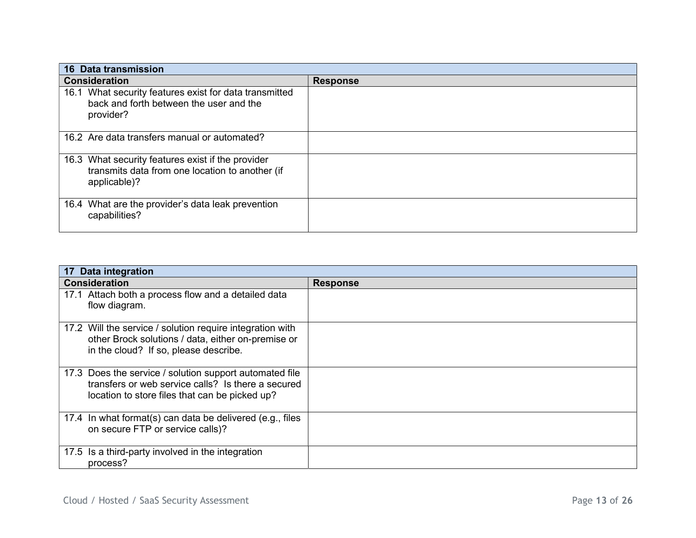| <b>16 Data transmission</b>                                                                                          |                 |
|----------------------------------------------------------------------------------------------------------------------|-----------------|
| <b>Consideration</b>                                                                                                 | <b>Response</b> |
| 16.1 What security features exist for data transmitted<br>back and forth between the user and the<br>provider?       |                 |
| 16.2 Are data transfers manual or automated?                                                                         |                 |
| 16.3 What security features exist if the provider<br>transmits data from one location to another (if<br>applicable)? |                 |
| 16.4 What are the provider's data leak prevention<br>capabilities?                                                   |                 |

| 17 Data integration                                                                                                                                             |                 |
|-----------------------------------------------------------------------------------------------------------------------------------------------------------------|-----------------|
| <b>Consideration</b>                                                                                                                                            | <b>Response</b> |
| 17.1 Attach both a process flow and a detailed data<br>flow diagram.                                                                                            |                 |
| 17.2 Will the service / solution require integration with<br>other Brock solutions / data, either on-premise or<br>in the cloud? If so, please describe.        |                 |
| 17.3 Does the service / solution support automated file<br>transfers or web service calls? Is there a secured<br>location to store files that can be picked up? |                 |
| 17.4 In what format(s) can data be delivered (e.g., files<br>on secure FTP or service calls)?                                                                   |                 |
| 17.5 Is a third-party involved in the integration<br>process?                                                                                                   |                 |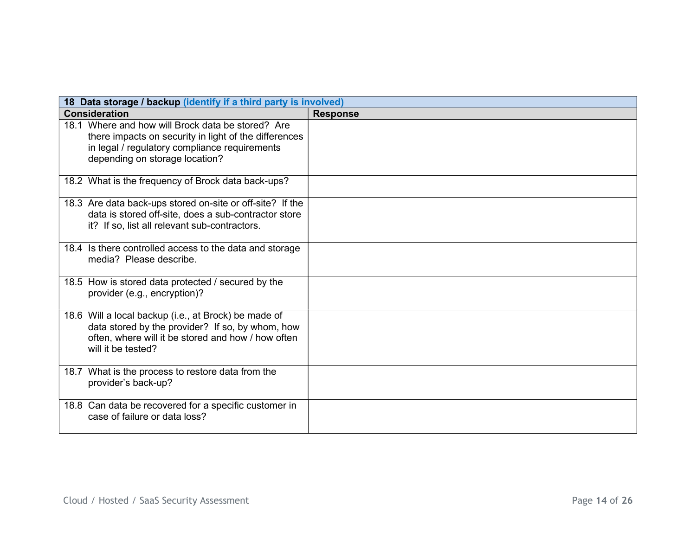| 18 Data storage / backup (identify if a third party is involved)                                                                                                                              |                 |
|-----------------------------------------------------------------------------------------------------------------------------------------------------------------------------------------------|-----------------|
| <b>Consideration</b>                                                                                                                                                                          | <b>Response</b> |
| 18.1 Where and how will Brock data be stored? Are<br>there impacts on security in light of the differences<br>in legal / regulatory compliance requirements<br>depending on storage location? |                 |
| 18.2 What is the frequency of Brock data back-ups?                                                                                                                                            |                 |
| 18.3 Are data back-ups stored on-site or off-site? If the<br>data is stored off-site, does a sub-contractor store<br>it? If so, list all relevant sub-contractors.                            |                 |
| 18.4 Is there controlled access to the data and storage<br>media? Please describe.                                                                                                            |                 |
| 18.5 How is stored data protected / secured by the<br>provider (e.g., encryption)?                                                                                                            |                 |
| 18.6 Will a local backup (i.e., at Brock) be made of<br>data stored by the provider? If so, by whom, how<br>often, where will it be stored and how / how often<br>will it be tested?          |                 |
| 18.7 What is the process to restore data from the<br>provider's back-up?                                                                                                                      |                 |
| 18.8 Can data be recovered for a specific customer in<br>case of failure or data loss?                                                                                                        |                 |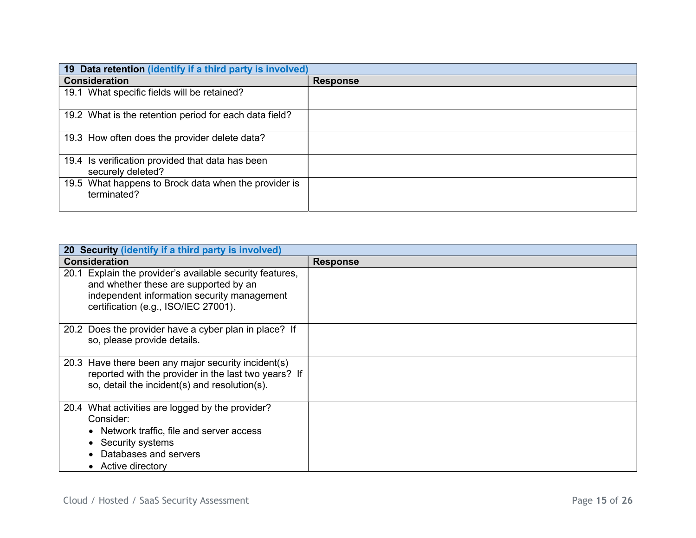| 19 Data retention (identify if a third party is involved)             |                 |
|-----------------------------------------------------------------------|-----------------|
| <b>Consideration</b>                                                  | <b>Response</b> |
| 19.1 What specific fields will be retained?                           |                 |
| 19.2 What is the retention period for each data field?                |                 |
| 19.3 How often does the provider delete data?                         |                 |
| 19.4 Is verification provided that data has been<br>securely deleted? |                 |
| 19.5 What happens to Brock data when the provider is<br>terminated?   |                 |

| 20 Security (identify if a third party is involved)                                                                                                                                      |                 |
|------------------------------------------------------------------------------------------------------------------------------------------------------------------------------------------|-----------------|
| <b>Consideration</b>                                                                                                                                                                     | <b>Response</b> |
| 20.1 Explain the provider's available security features,<br>and whether these are supported by an<br>independent information security management<br>certification (e.g., ISO/IEC 27001). |                 |
| 20.2 Does the provider have a cyber plan in place? If<br>so, please provide details.                                                                                                     |                 |
| 20.3 Have there been any major security incident(s)<br>reported with the provider in the last two years? If<br>so, detail the incident(s) and resolution(s).                             |                 |
| 20.4 What activities are logged by the provider?<br>Consider:<br>Network traffic, file and server access<br>Security systems<br>Databases and servers<br>Active directory                |                 |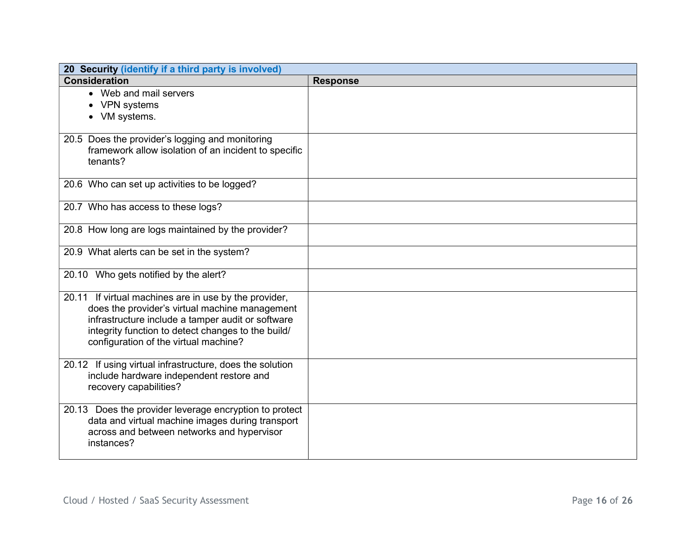| 20 Security (identify if a third party is involved)                                         |                 |
|---------------------------------------------------------------------------------------------|-----------------|
| <b>Consideration</b>                                                                        | <b>Response</b> |
| • Web and mail servers                                                                      |                 |
| • VPN systems                                                                               |                 |
| • VM systems.                                                                               |                 |
|                                                                                             |                 |
| 20.5 Does the provider's logging and monitoring                                             |                 |
| framework allow isolation of an incident to specific                                        |                 |
| tenants?                                                                                    |                 |
|                                                                                             |                 |
| 20.6 Who can set up activities to be logged?                                                |                 |
| 20.7 Who has access to these logs?                                                          |                 |
|                                                                                             |                 |
| 20.8 How long are logs maintained by the provider?                                          |                 |
|                                                                                             |                 |
| 20.9 What alerts can be set in the system?                                                  |                 |
|                                                                                             |                 |
| 20.10 Who gets notified by the alert?                                                       |                 |
|                                                                                             |                 |
| 20.11 If virtual machines are in use by the provider,                                       |                 |
| does the provider's virtual machine management                                              |                 |
| infrastructure include a tamper audit or software                                           |                 |
| integrity function to detect changes to the build/<br>configuration of the virtual machine? |                 |
|                                                                                             |                 |
| 20.12 If using virtual infrastructure, does the solution                                    |                 |
| include hardware independent restore and                                                    |                 |
| recovery capabilities?                                                                      |                 |
|                                                                                             |                 |
| 20.13 Does the provider leverage encryption to protect                                      |                 |
| data and virtual machine images during transport                                            |                 |
| across and between networks and hypervisor                                                  |                 |
| instances?                                                                                  |                 |
|                                                                                             |                 |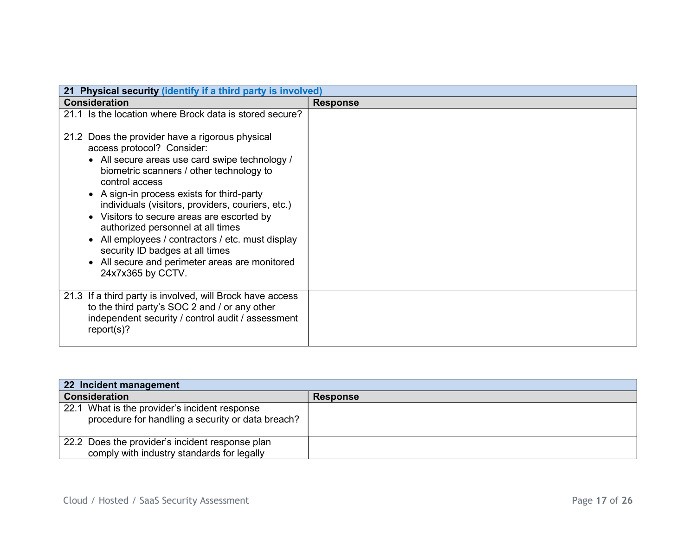| Physical security (identify if a third party is involved)<br>21                                                                                                                                                                                                                                                                                                   |                 |
|-------------------------------------------------------------------------------------------------------------------------------------------------------------------------------------------------------------------------------------------------------------------------------------------------------------------------------------------------------------------|-----------------|
| <b>Consideration</b>                                                                                                                                                                                                                                                                                                                                              | <b>Response</b> |
| 21.1 Is the location where Brock data is stored secure?                                                                                                                                                                                                                                                                                                           |                 |
| 21.2 Does the provider have a rigorous physical<br>access protocol? Consider:<br>• All secure areas use card swipe technology /<br>biometric scanners / other technology to                                                                                                                                                                                       |                 |
| control access<br>• A sign-in process exists for third-party<br>individuals (visitors, providers, couriers, etc.)<br>Visitors to secure areas are escorted by<br>authorized personnel at all times<br>• All employees / contractors / etc. must display<br>security ID badges at all times<br>• All secure and perimeter areas are monitored<br>24x7x365 by CCTV. |                 |
| 21.3 If a third party is involved, will Brock have access<br>to the third party's SOC 2 and / or any other<br>independent security / control audit / assessment<br>report(s)?                                                                                                                                                                                     |                 |

| 22 Incident management                                                                             |                 |
|----------------------------------------------------------------------------------------------------|-----------------|
| <b>Consideration</b>                                                                               | <b>Response</b> |
| 22.1 What is the provider's incident response<br>procedure for handling a security or data breach? |                 |
| 22.2 Does the provider's incident response plan<br>comply with industry standards for legally      |                 |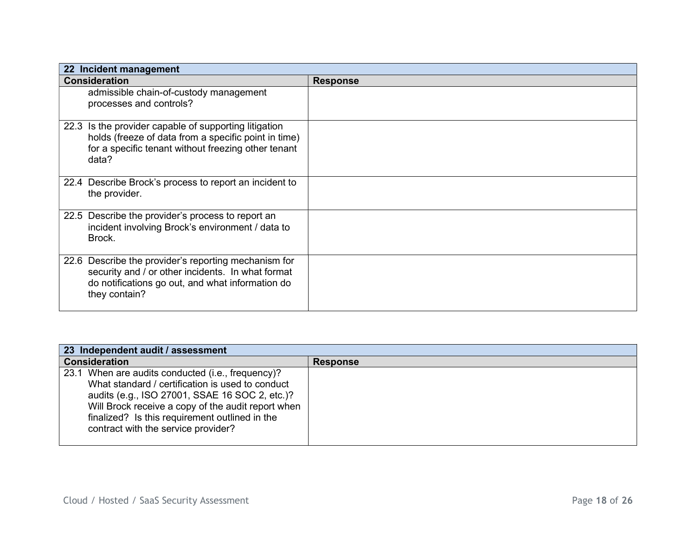| 22 Incident management                                                                                                                                                         |                 |
|--------------------------------------------------------------------------------------------------------------------------------------------------------------------------------|-----------------|
| <b>Consideration</b>                                                                                                                                                           | <b>Response</b> |
| admissible chain-of-custody management<br>processes and controls?                                                                                                              |                 |
| 22.3 Is the provider capable of supporting litigation<br>holds (freeze of data from a specific point in time)<br>for a specific tenant without freezing other tenant<br>data?  |                 |
| 22.4 Describe Brock's process to report an incident to<br>the provider.                                                                                                        |                 |
| 22.5 Describe the provider's process to report an<br>incident involving Brock's environment / data to<br>Brock.                                                                |                 |
| 22.6 Describe the provider's reporting mechanism for<br>security and / or other incidents. In what format<br>do notifications go out, and what information do<br>they contain? |                 |

| 23 Independent audit / assessment                                                                                                                                                                                                                                                                      |                 |
|--------------------------------------------------------------------------------------------------------------------------------------------------------------------------------------------------------------------------------------------------------------------------------------------------------|-----------------|
| <b>Consideration</b>                                                                                                                                                                                                                                                                                   | <b>Response</b> |
| 23.1 When are audits conducted (i.e., frequency)?<br>What standard / certification is used to conduct<br>audits (e.g., ISO 27001, SSAE 16 SOC 2, etc.)?<br>Will Brock receive a copy of the audit report when<br>finalized? Is this requirement outlined in the<br>contract with the service provider? |                 |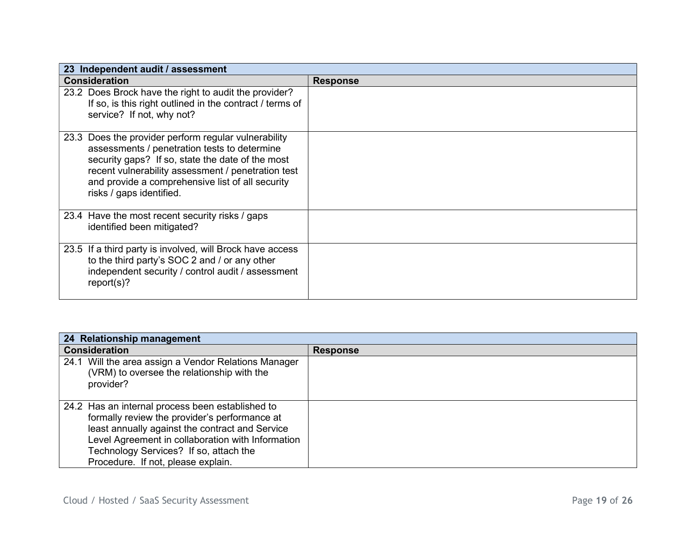| 23 Independent audit / assessment                                                                                                                                                                                                                                                              |                 |
|------------------------------------------------------------------------------------------------------------------------------------------------------------------------------------------------------------------------------------------------------------------------------------------------|-----------------|
| <b>Consideration</b>                                                                                                                                                                                                                                                                           | <b>Response</b> |
| 23.2 Does Brock have the right to audit the provider?<br>If so, is this right outlined in the contract / terms of<br>service? If not, why not?                                                                                                                                                 |                 |
| 23.3 Does the provider perform regular vulnerability<br>assessments / penetration tests to determine<br>security gaps? If so, state the date of the most<br>recent vulnerability assessment / penetration test<br>and provide a comprehensive list of all security<br>risks / gaps identified. |                 |
| 23.4 Have the most recent security risks / gaps<br>identified been mitigated?                                                                                                                                                                                                                  |                 |
| 23.5 If a third party is involved, will Brock have access<br>to the third party's SOC 2 and / or any other<br>independent security / control audit / assessment<br>report(s)?                                                                                                                  |                 |

| 24 Relationship management                                                                                                                                                                                                                                                                |                 |
|-------------------------------------------------------------------------------------------------------------------------------------------------------------------------------------------------------------------------------------------------------------------------------------------|-----------------|
| <b>Consideration</b>                                                                                                                                                                                                                                                                      | <b>Response</b> |
| 24.1 Will the area assign a Vendor Relations Manager<br>(VRM) to oversee the relationship with the<br>provider?                                                                                                                                                                           |                 |
| 24.2 Has an internal process been established to<br>formally review the provider's performance at<br>least annually against the contract and Service<br>Level Agreement in collaboration with Information<br>Technology Services? If so, attach the<br>Procedure. If not, please explain. |                 |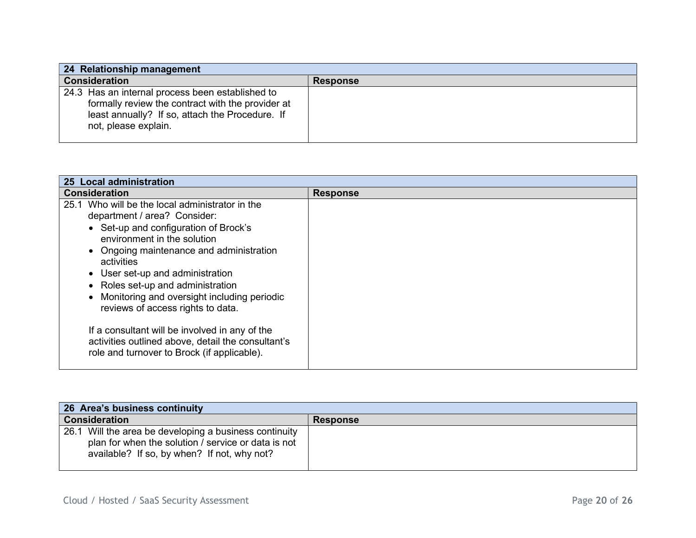| 24 Relationship management                                                                                                                                                       |                 |
|----------------------------------------------------------------------------------------------------------------------------------------------------------------------------------|-----------------|
| <b>Consideration</b>                                                                                                                                                             | <b>Response</b> |
| 24.3 Has an internal process been established to<br>formally review the contract with the provider at<br>least annually? If so, attach the Procedure. If<br>not, please explain. |                 |

| 25 Local administration                                                                                                                                                                                                                                                                                                                                                                                                                                                                                                                |                 |
|----------------------------------------------------------------------------------------------------------------------------------------------------------------------------------------------------------------------------------------------------------------------------------------------------------------------------------------------------------------------------------------------------------------------------------------------------------------------------------------------------------------------------------------|-----------------|
| <b>Consideration</b>                                                                                                                                                                                                                                                                                                                                                                                                                                                                                                                   | <b>Response</b> |
| Who will be the local administrator in the<br>25.1<br>department / area? Consider:<br>• Set-up and configuration of Brock's<br>environment in the solution<br>• Ongoing maintenance and administration<br>activities<br>• User set-up and administration<br>Roles set-up and administration<br>Monitoring and oversight including periodic<br>reviews of access rights to data.<br>If a consultant will be involved in any of the<br>activities outlined above, detail the consultant's<br>role and turnover to Brock (if applicable). |                 |

| 26 Area's business continuity                                                                                                                                |                 |  |
|--------------------------------------------------------------------------------------------------------------------------------------------------------------|-----------------|--|
| <b>Consideration</b>                                                                                                                                         | <b>Response</b> |  |
| 26.1 Will the area be developing a business continuity<br>plan for when the solution / service or data is not<br>available? If so, by when? If not, why not? |                 |  |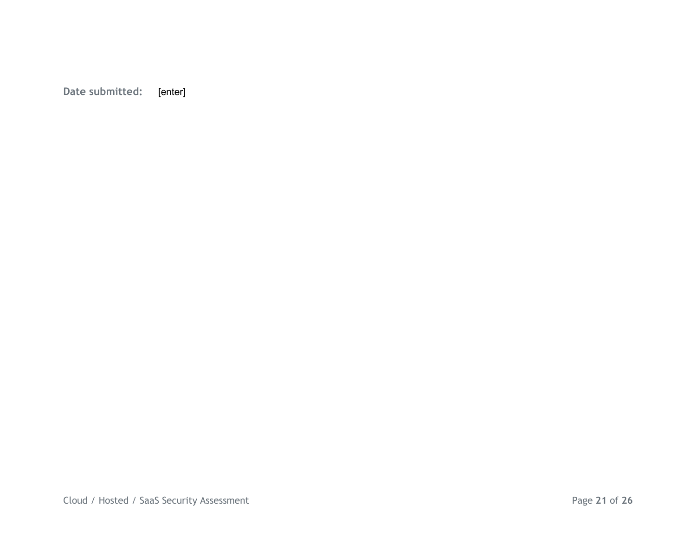Date submitted: [enter]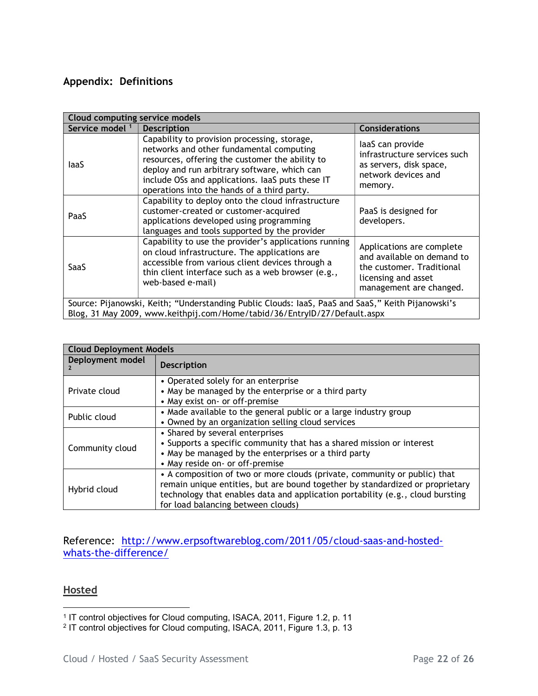#### Appendix: Definitions

| Cloud computing service models                                                                    |                                                                                                                                                                                                                                                                                                |                                                                                                                                        |  |
|---------------------------------------------------------------------------------------------------|------------------------------------------------------------------------------------------------------------------------------------------------------------------------------------------------------------------------------------------------------------------------------------------------|----------------------------------------------------------------------------------------------------------------------------------------|--|
| Service model <sup>1</sup>                                                                        | <b>Description</b>                                                                                                                                                                                                                                                                             | <b>Considerations</b>                                                                                                                  |  |
| laaS                                                                                              | Capability to provision processing, storage,<br>networks and other fundamental computing<br>resources, offering the customer the ability to<br>deploy and run arbitrary software, which can<br>include OSs and applications. IaaS puts these IT<br>operations into the hands of a third party. | laaS can provide<br>infrastructure services such<br>as servers, disk space,<br>network devices and<br>memory.                          |  |
| PaaS                                                                                              | Capability to deploy onto the cloud infrastructure<br>customer-created or customer-acquired<br>applications developed using programming<br>languages and tools supported by the provider                                                                                                       | PaaS is designed for<br>developers.                                                                                                    |  |
| SaaS                                                                                              | Capability to use the provider's applications running<br>on cloud infrastructure. The applications are<br>accessible from various client devices through a<br>thin client interface such as a web browser (e.g.,<br>web-based e-mail)                                                          | Applications are complete<br>and available on demand to<br>the customer. Traditional<br>licensing and asset<br>management are changed. |  |
| Source: Pijanowski, Keith; "Understanding Public Clouds: IaaS, PaaS and SaaS," Keith Pijanowski's |                                                                                                                                                                                                                                                                                                |                                                                                                                                        |  |
| Blog, 31 May 2009, www.keithpij.com/Home/tabid/36/EntryID/27/Default.aspx                         |                                                                                                                                                                                                                                                                                                |                                                                                                                                        |  |

| <b>Cloud Deployment Models</b> |                                                                                                                                                                                                                                                                                    |  |
|--------------------------------|------------------------------------------------------------------------------------------------------------------------------------------------------------------------------------------------------------------------------------------------------------------------------------|--|
| Deployment model               | <b>Description</b>                                                                                                                                                                                                                                                                 |  |
| Private cloud                  | • Operated solely for an enterprise<br>• May be managed by the enterprise or a third party<br>• May exist on- or off-premise                                                                                                                                                       |  |
| Public cloud                   | • Made available to the general public or a large industry group<br>• Owned by an organization selling cloud services                                                                                                                                                              |  |
| Community cloud                | • Shared by several enterprises<br>• Supports a specific community that has a shared mission or interest<br>• May be managed by the enterprises or a third party<br>• May reside on- or off-premise                                                                                |  |
| Hybrid cloud                   | • A composition of two or more clouds (private, community or public) that<br>remain unique entities, but are bound together by standardized or proprietary<br>technology that enables data and application portability (e.g., cloud bursting<br>for load balancing between clouds) |  |

Reference: http://www.erpsoftwareblog.com/2011/05/cloud-saas-and-hostedwhats-the-difference/

#### **Hosted**

<sup>&</sup>lt;sup>1</sup> IT control objectives for Cloud computing, ISACA, 2011, Figure 1.2, p. 11<br><sup>2</sup> IT control objectives for Cloud computing, ISACA, 2011, Figure 1.3, p. 13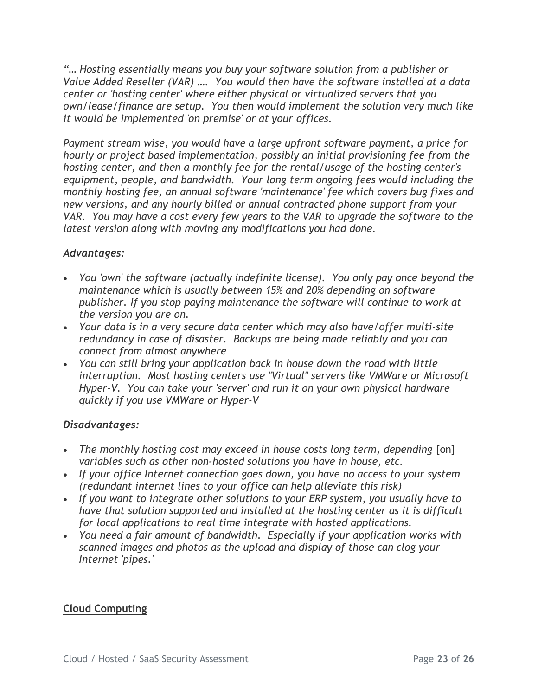"… Hosting essentially means you buy your software solution from a publisher or Value Added Reseller (VAR) …. You would then have the software installed at a data center or 'hosting center' where either physical or virtualized servers that you own/lease/finance are setup. You then would implement the solution very much like it would be implemented 'on premise' or at your offices.

Payment stream wise, you would have a large upfront software payment, a price for hourly or project based implementation, possibly an initial provisioning fee from the hosting center, and then a monthly fee for the rental/usage of the hosting center's equipment, people, and bandwidth. Your long term ongoing fees would including the monthly hosting fee, an annual software 'maintenance' fee which covers bug fixes and new versions, and any hourly billed or annual contracted phone support from your VAR. You may have a cost every few years to the VAR to upgrade the software to the latest version along with moving any modifications you had done.

### Advantages:

- You 'own' the software (actually indefinite license). You only pay once beyond the maintenance which is usually between 15% and 20% depending on software publisher. If you stop paying maintenance the software will continue to work at the version you are on.
- Your data is in a very secure data center which may also have/offer multi-site redundancy in case of disaster. Backups are being made reliably and you can connect from almost anywhere
- You can still bring your application back in house down the road with little interruption. Most hosting centers use "Virtual" servers like VMWare or Microsoft Hyper-V. You can take your 'server' and run it on your own physical hardware quickly if you use VMWare or Hyper-V

#### Disadvantages:

- The monthly hosting cost may exceed in house costs long term, depending [on] variables such as other non-hosted solutions you have in house, etc.
- If your office Internet connection goes down, you have no access to your system (redundant internet lines to your office can help alleviate this risk)
- If you want to integrate other solutions to your ERP system, you usually have to have that solution supported and installed at the hosting center as it is difficult for local applications to real time integrate with hosted applications.
- You need a fair amount of bandwidth. Especially if your application works with scanned images and photos as the upload and display of those can clog your Internet 'pipes.'

### Cloud Computing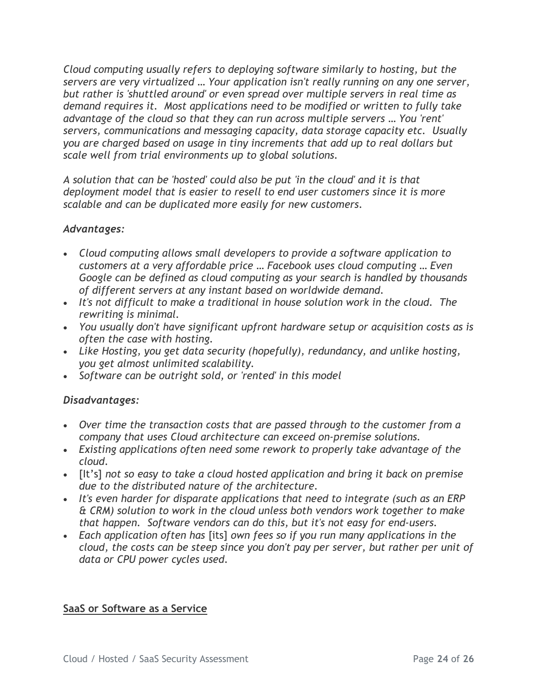Cloud computing usually refers to deploying software similarly to hosting, but the servers are very virtualized … Your application isn't really running on any one server, but rather is 'shuttled around' or even spread over multiple servers in real time as demand requires it. Most applications need to be modified or written to fully take advantage of the cloud so that they can run across multiple servers … You 'rent' servers, communications and messaging capacity, data storage capacity etc. Usually you are charged based on usage in tiny increments that add up to real dollars but scale well from trial environments up to global solutions.

A solution that can be 'hosted' could also be put 'in the cloud' and it is that deployment model that is easier to resell to end user customers since it is more scalable and can be duplicated more easily for new customers.

#### Advantages:

- Cloud computing allows small developers to provide a software application to customers at a very affordable price … Facebook uses cloud computing … Even Google can be defined as cloud computing as your search is handled by thousands of different servers at any instant based on worldwide demand.
- It's not difficult to make a traditional in house solution work in the cloud. The rewriting is minimal.
- You usually don't have significant upfront hardware setup or acquisition costs as is often the case with hosting.
- Like Hosting, you get data security (hopefully), redundancy, and unlike hosting, you get almost unlimited scalability.
- Software can be outright sold, or 'rented' in this model

### Disadvantages:

- Over time the transaction costs that are passed through to the customer from a company that uses Cloud architecture can exceed on-premise solutions.
- Existing applications often need some rework to properly take advantage of the cloud.
- [It's] not so easy to take a cloud hosted application and bring it back on premise due to the distributed nature of the architecture.
- It's even harder for disparate applications that need to integrate (such as an ERP) & CRM) solution to work in the cloud unless both vendors work together to make that happen. Software vendors can do this, but it's not easy for end-users.
- Each application often has [its] own fees so if you run many applications in the cloud, the costs can be steep since you don't pay per server, but rather per unit of data or CPU power cycles used.

#### SaaS or Software as a Service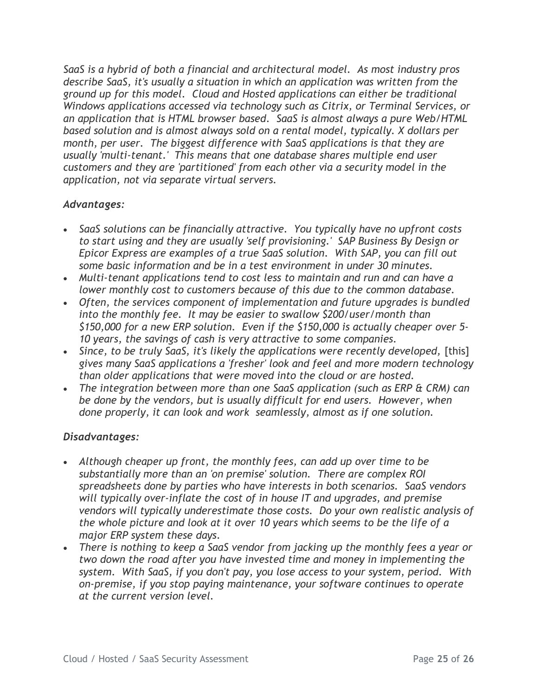SaaS is a hybrid of both a financial and architectural model. As most industry pros describe SaaS, it's usually a situation in which an application was written from the ground up for this model. Cloud and Hosted applications can either be traditional Windows applications accessed via technology such as Citrix, or Terminal Services, or an application that is HTML browser based. SaaS is almost always a pure Web/HTML based solution and is almost always sold on a rental model, typically. X dollars per month, per user. The biggest difference with SaaS applications is that they are usually 'multi-tenant.' This means that one database shares multiple end user customers and they are 'partitioned' from each other via a security model in the application, not via separate virtual servers.

#### Advantages:

- SaaS solutions can be financially attractive. You typically have no upfront costs to start using and they are usually 'self provisioning.' SAP Business By Design or Epicor Express are examples of a true SaaS solution. With SAP, you can fill out some basic information and be in a test environment in under 30 minutes.
- Multi-tenant applications tend to cost less to maintain and run and can have a lower monthly cost to customers because of this due to the common database.
- Often, the services component of implementation and future upgrades is bundled into the monthly fee. It may be easier to swallow \$200/user/month than \$150,000 for a new ERP solution. Even if the \$150,000 is actually cheaper over 5- 10 years, the savings of cash is very attractive to some companies.
- Since, to be truly SaaS, it's likely the applications were recently developed, [this] gives many SaaS applications a 'fresher' look and feel and more modern technology than older applications that were moved into the cloud or are hosted.
- The integration between more than one SaaS application (such as ERP & CRM) can be done by the vendors, but is usually difficult for end users. However, when done properly, it can look and work seamlessly, almost as if one solution.

#### Disadvantages:

- Although cheaper up front, the monthly fees, can add up over time to be substantially more than an 'on premise' solution. There are complex ROI spreadsheets done by parties who have interests in both scenarios. SaaS vendors will typically over-inflate the cost of in house IT and upgrades, and premise vendors will typically underestimate those costs. Do your own realistic analysis of the whole picture and look at it over 10 years which seems to be the life of a major ERP system these days.
- There is nothing to keep a SaaS vendor from jacking up the monthly fees a year or two down the road after you have invested time and money in implementing the system. With SaaS, if you don't pay, you lose access to your system, period. With on-premise, if you stop paying maintenance, your software continues to operate at the current version level.